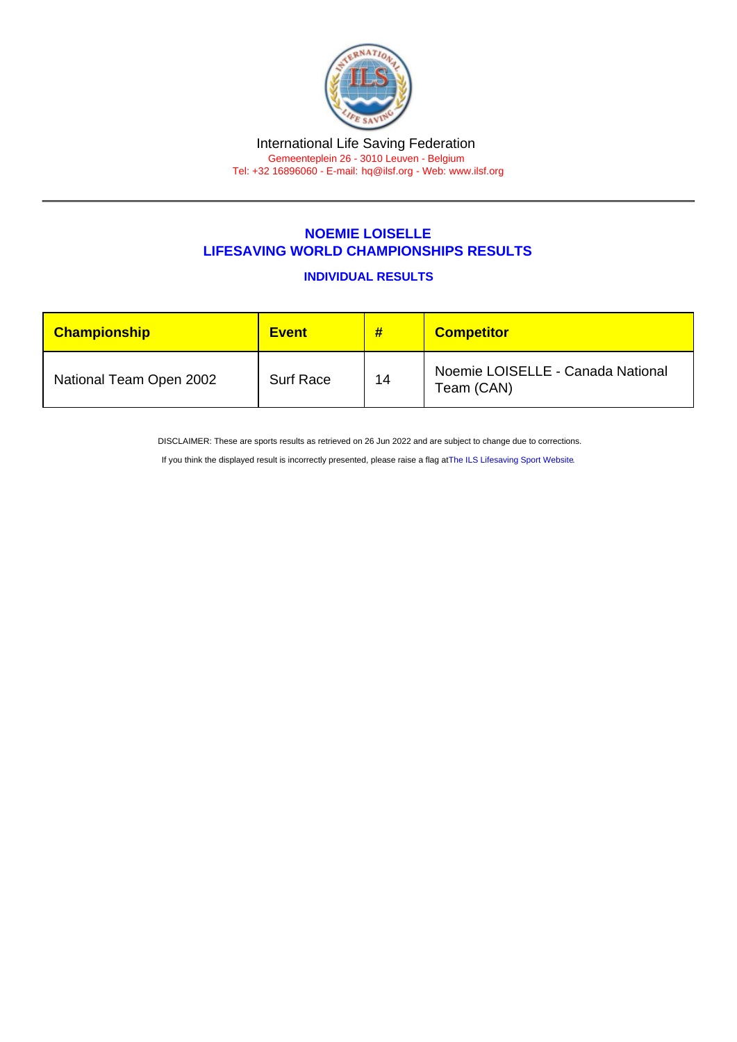#### International Life Saving Federation Gemeenteplein 26 - 3010 Leuven - Belgium Tel: +32 16896060 - E-mail: [hq@ilsf.org](mailto:hq@ilsf.org) - Web: [www.ilsf.org](https://www.ilsf.org)

# NOEMIE LOISELLE

### LIFESAVING WORLD CHAMPIONSHIPS RESULTS

INDIVIDUAL RESULTS

| Championship            | <b>Event</b>     | #  | <b>Competitor</b>                               |
|-------------------------|------------------|----|-------------------------------------------------|
| National Team Open 2002 | <b>Surf Race</b> | 14 | Noemie LOISELLE - Canada National<br>Team (CAN) |

DISCLAIMER: These are sports results as retrieved on 26 Jun 2022 and are subject to change due to corrections.

If you think the displayed result is incorrectly presented, please raise a flag at [The ILS Lifesaving Sport Website.](https://sport.ilsf.org)